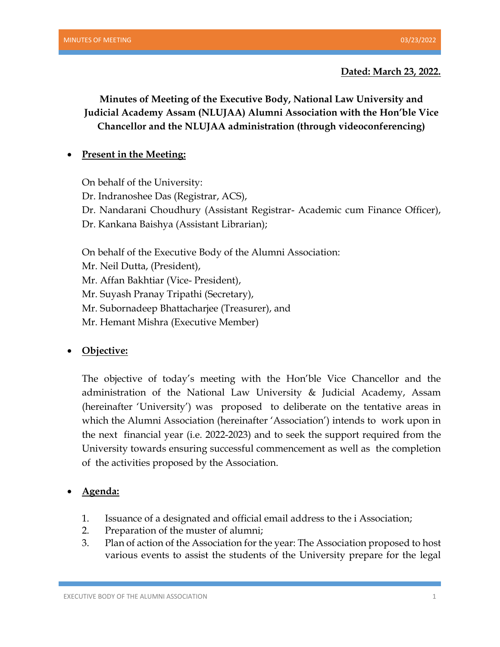## **Dated: March 23, 2022.**

**Minutes of Meeting of the Executive Body, National Law University and Judicial Academy Assam (NLUJAA) Alumni Association with the Hon'ble Vice Chancellor and the NLUJAA administration (through videoconferencing)**

## • **Present in the Meeting:**

On behalf of the University:

Dr. Indranoshee Das (Registrar, ACS),

Dr. Nandarani Choudhury (Assistant Registrar- Academic cum Finance Officer),

Dr. Kankana Baishya (Assistant Librarian);

On behalf of the Executive Body of the Alumni Association:

Mr. Neil Dutta, (President),

Mr. Affan Bakhtiar (Vice- President),

Mr. Suyash Pranay Tripathi (Secretary),

Mr. Subornadeep Bhattacharjee (Treasurer), and

Mr. Hemant Mishra (Executive Member)

## • **Objective:**

The objective of today's meeting with the Hon'ble Vice Chancellor and the administration of the National Law University & Judicial Academy, Assam (hereinafter 'University') was proposed to deliberate on the tentative areas in which the Alumni Association (hereinafter 'Association') intends to work upon in the next financial year (i.e. 2022-2023) and to seek the support required from the University towards ensuring successful commencement as well as the completion of the activities proposed by the Association.

• **Agenda:**

- 1. Issuance of a designated and official email address to the i Association;
- 2. Preparation of the muster of alumni;
- 3. Plan of action of the Association for the year: The Association proposed to host various events to assist the students of the University prepare for the legal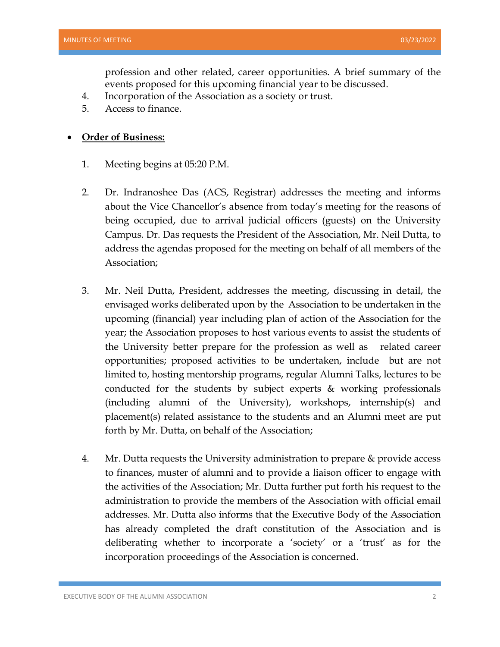profession and other related, career opportunities. A brief summary of the events proposed for this upcoming financial year to be discussed.

- 4. Incorporation of the Association as a society or trust.
- 5. Access to finance.

## • **Order of Business:**

- 1. Meeting begins at 05:20 P.M.
- 2. Dr. Indranoshee Das (ACS, Registrar) addresses the meeting and informs about the Vice Chancellor's absence from today's meeting for the reasons of being occupied, due to arrival judicial officers (guests) on the University Campus. Dr. Das requests the President of the Association, Mr. Neil Dutta, to address the agendas proposed for the meeting on behalf of all members of the Association;
- 3. Mr. Neil Dutta, President, addresses the meeting, discussing in detail, the envisaged works deliberated upon by the Association to be undertaken in the upcoming (financial) year including plan of action of the Association for the year; the Association proposes to host various events to assist the students of the University better prepare for the profession as well as related career opportunities; proposed activities to be undertaken, include but are not limited to, hosting mentorship programs, regular Alumni Talks, lectures to be conducted for the students by subject experts & working professionals (including alumni of the University), workshops, internship(s) and placement(s) related assistance to the students and an Alumni meet are put forth by Mr. Dutta, on behalf of the Association;
- 4. Mr. Dutta requests the University administration to prepare & provide access to finances, muster of alumni and to provide a liaison officer to engage with the activities of the Association; Mr. Dutta further put forth his request to the administration to provide the members of the Association with official email addresses. Mr. Dutta also informs that the Executive Body of the Association has already completed the draft constitution of the Association and is deliberating whether to incorporate a 'society' or a 'trust' as for the incorporation proceedings of the Association is concerned.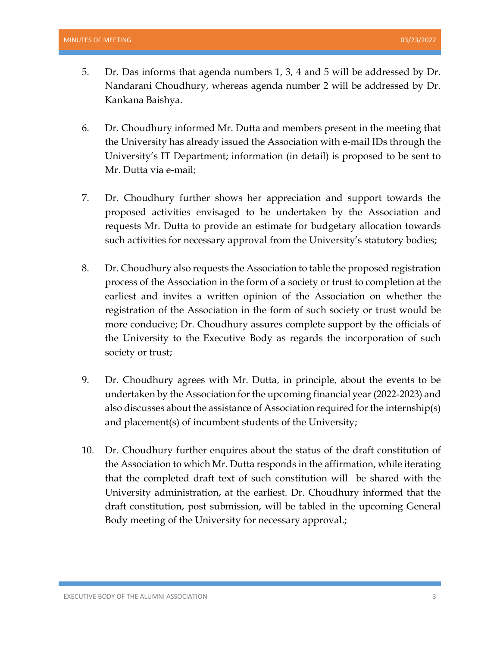- 5. Dr. Das informs that agenda numbers 1, 3, 4 and 5 will be addressed by Dr. Nandarani Choudhury, whereas agenda number 2 will be addressed by Dr. Kankana Baishya.
- 6. Dr. Choudhury informed Mr. Dutta and members present in the meeting that the University has already issued the Association with e-mail IDs through the University's IT Department; information (in detail) is proposed to be sent to Mr. Dutta via e-mail;
- 7. Dr. Choudhury further shows her appreciation and support towards the proposed activities envisaged to be undertaken by the Association and requests Mr. Dutta to provide an estimate for budgetary allocation towards such activities for necessary approval from the University's statutory bodies;
- 8. Dr. Choudhury also requests the Association to table the proposed registration process of the Association in the form of a society or trust to completion at the earliest and invites a written opinion of the Association on whether the registration of the Association in the form of such society or trust would be more conducive; Dr. Choudhury assures complete support by the officials of the University to the Executive Body as regards the incorporation of such society or trust;
- 9. Dr. Choudhury agrees with Mr. Dutta, in principle, about the events to be undertaken by the Association for the upcoming financial year (2022-2023) and also discusses about the assistance of Association required for the internship(s) and placement(s) of incumbent students of the University;
- 10. Dr. Choudhury further enquires about the status of the draft constitution of the Association to which Mr. Dutta responds in the affirmation, while iterating that the completed draft text of such constitution will be shared with the University administration, at the earliest. Dr. Choudhury informed that the draft constitution, post submission, will be tabled in the upcoming General Body meeting of the University for necessary approval.;